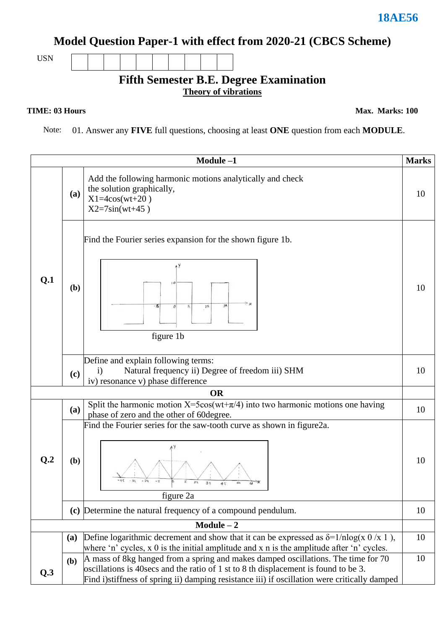#### **Model Question Paper-1 with effect from 2020-21 (CBCS Scheme)**

USN

#### **Fifth Semester B.E. Degree Examination Theory of vibrations**

#### **TIME: 03 Hours**

**Max. Marks: 100**

Note: 01. Answer any **FIVE** full questions, choosing at least **ONE** question from each **MODULE**.

|                 |              | Module-1                                                                                                                                                                                                                                                                   | <b>Marks</b> |  |  |  |
|-----------------|--------------|----------------------------------------------------------------------------------------------------------------------------------------------------------------------------------------------------------------------------------------------------------------------------|--------------|--|--|--|
| Q.1             | (a)          | Add the following harmonic motions analytically and check<br>the solution graphically,<br>$X1 = 4cos(wt + 20)$<br>$X2 = 7\sin(wt + 45)$                                                                                                                                    | 10           |  |  |  |
|                 | (b)          | Find the Fourier series expansion for the shown figure 1b.<br>۰π<br>$2\pi$<br>figure 1b                                                                                                                                                                                    | 10           |  |  |  |
|                 | (c)          | Define and explain following terms:<br>Natural frequency ii) Degree of freedom iii) SHM<br>$\mathbf{i}$<br>iv) resonance v) phase difference                                                                                                                               |              |  |  |  |
| <b>OR</b>       |              |                                                                                                                                                                                                                                                                            |              |  |  |  |
|                 | (a)          | Split the harmonic motion $X=5\cos(wt+\pi/4)$ into two harmonic motions one having<br>phase of zero and the other of 60degree.                                                                                                                                             | 10           |  |  |  |
| Q <sub>.2</sub> | (b)          | Find the Fourier series for the saw-tooth curve as shown in figure2a.<br>$2\pi$<br>$3\pi$<br>figure 2a                                                                                                                                                                     | 10           |  |  |  |
|                 |              | (c) Determine the natural frequency of a compound pendulum.                                                                                                                                                                                                                |              |  |  |  |
| $Module - 2$    |              |                                                                                                                                                                                                                                                                            |              |  |  |  |
|                 | (a)          | Define logarithmic decrement and show that it can be expressed as $\delta = 1/n \log(x \ 0 \ x \ 1)$ ,                                                                                                                                                                     | 10           |  |  |  |
|                 |              | where 'n' cycles, $x \theta$ is the initial amplitude and $x \theta$ is the amplitude after 'n' cycles.                                                                                                                                                                    |              |  |  |  |
| Q.3             | ( <b>b</b> ) | A mass of 8kg hanged from a spring and makes damped oscillations. The time for 70<br>oscillations is 40 secs and the ratio of 1 st to 8 th displacement is found to be 3.<br>Find i) stiffness of spring ii) damping resistance iii) if oscillation were critically damped | 10           |  |  |  |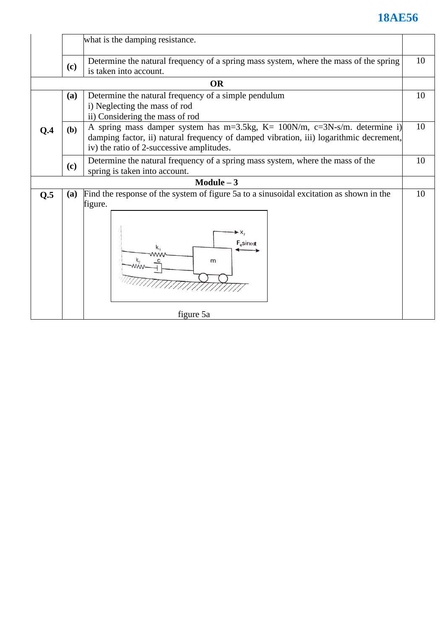|                |                                 | what is the damping resistance.                                                                                                                                              |    |  |  |  |  |  |
|----------------|---------------------------------|------------------------------------------------------------------------------------------------------------------------------------------------------------------------------|----|--|--|--|--|--|
|                | (c)                             | Determine the natural frequency of a spring mass system, where the mass of the spring<br>is taken into account.                                                              |    |  |  |  |  |  |
|                |                                 | <b>OR</b>                                                                                                                                                                    |    |  |  |  |  |  |
|                | (a)                             | Determine the natural frequency of a simple pendulum                                                                                                                         | 10 |  |  |  |  |  |
|                | i) Neglecting the mass of rod   |                                                                                                                                                                              |    |  |  |  |  |  |
|                | ii) Considering the mass of rod |                                                                                                                                                                              |    |  |  |  |  |  |
| Q <sub>4</sub> | (b)                             | A spring mass damper system has $m=3.5$ kg, $K=100$ N/m, $c=3N-s/m$ . determine i)<br>damping factor, ii) natural frequency of damped vibration, iii) logarithmic decrement, | 10 |  |  |  |  |  |
|                |                                 | iv) the ratio of 2-successive amplitudes.                                                                                                                                    |    |  |  |  |  |  |
|                |                                 | Determine the natural frequency of a spring mass system, where the mass of the                                                                                               |    |  |  |  |  |  |
|                | (c)                             | spring is taken into account.                                                                                                                                                |    |  |  |  |  |  |
|                |                                 | Module $-3$                                                                                                                                                                  |    |  |  |  |  |  |
| Q.5            | (a)                             | Find the response of the system of figure 5a to a sinusoidal excitation as shown in the                                                                                      | 10 |  |  |  |  |  |
|                |                                 | figure.                                                                                                                                                                      |    |  |  |  |  |  |
|                |                                 |                                                                                                                                                                              |    |  |  |  |  |  |
|                |                                 | $\blacktriangleright$ X <sub>2</sub>                                                                                                                                         |    |  |  |  |  |  |
|                |                                 | F <sub>o</sub> sin <sub>tot</sub>                                                                                                                                            |    |  |  |  |  |  |
|                |                                 | m                                                                                                                                                                            |    |  |  |  |  |  |
|                |                                 |                                                                                                                                                                              |    |  |  |  |  |  |
|                |                                 |                                                                                                                                                                              |    |  |  |  |  |  |
|                |                                 |                                                                                                                                                                              |    |  |  |  |  |  |
|                |                                 | figure 5a                                                                                                                                                                    |    |  |  |  |  |  |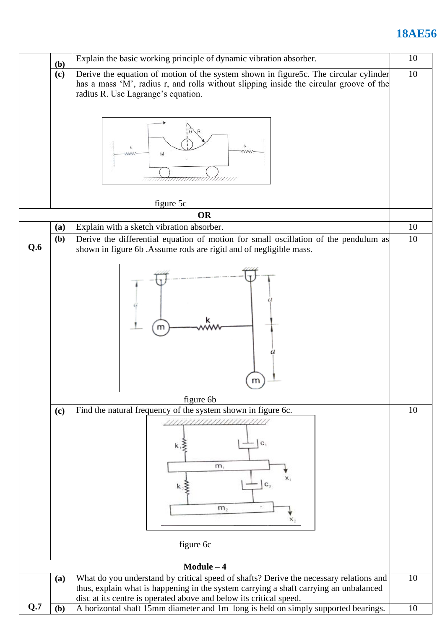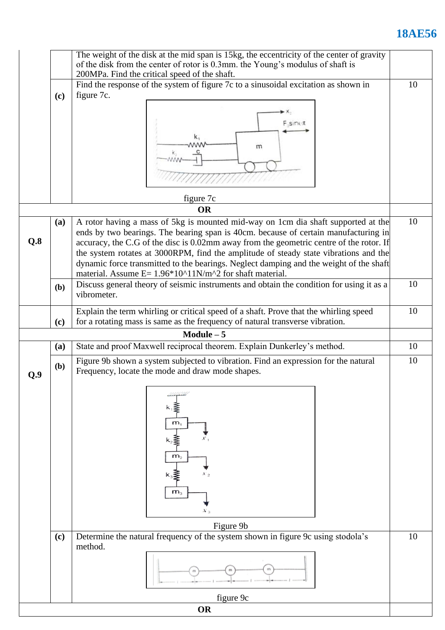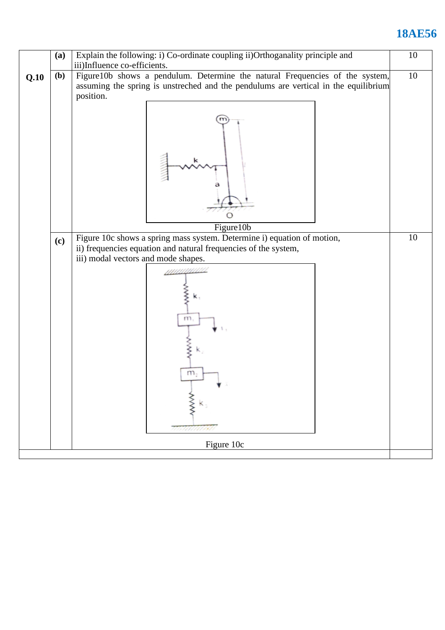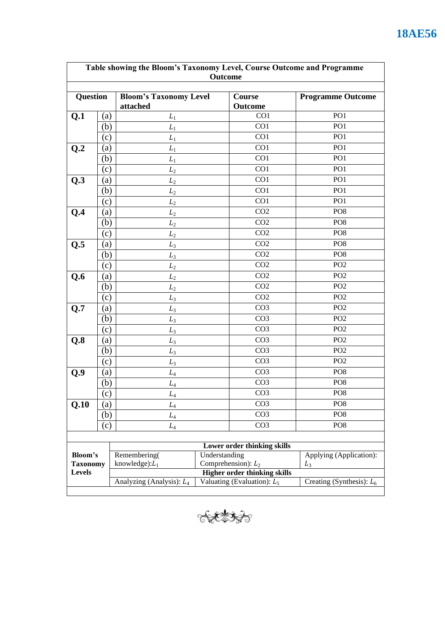| Table showing the Bloom's Taxonomy Level, Course Outcome and Programme<br>Outcome |                   |                                           |                                        |                                     |                             |  |
|-----------------------------------------------------------------------------------|-------------------|-------------------------------------------|----------------------------------------|-------------------------------------|-----------------------------|--|
| <b>Question</b>                                                                   |                   | <b>Bloom's Taxonomy Level</b><br>attached | Course<br>Outcome                      |                                     | <b>Programme Outcome</b>    |  |
| Q.1                                                                               | (a)               | $L_1$                                     |                                        | CO <sub>1</sub>                     | PO <sub>1</sub>             |  |
|                                                                                   | (b)               | $L_1$                                     |                                        | CO1                                 | PO <sub>1</sub>             |  |
|                                                                                   | (c)               | $L_1$                                     |                                        | CO1                                 | PO <sub>1</sub>             |  |
| Q <sub>2</sub>                                                                    | (a)               | $L_1$                                     |                                        | CO1                                 | PO <sub>1</sub>             |  |
|                                                                                   | (b)               | $L_1$                                     |                                        | CO1                                 | PO <sub>1</sub>             |  |
|                                                                                   | (c)               | $L_2$                                     |                                        | CO1                                 | PO <sub>1</sub>             |  |
| Q.3                                                                               | (a)               | $L_2$                                     |                                        | CO1                                 | PO <sub>1</sub>             |  |
|                                                                                   | (b)               | $L_2$                                     |                                        | CO1                                 | PO <sub>1</sub>             |  |
|                                                                                   | (c)               | L <sub>2</sub>                            |                                        | CO1                                 | PO <sub>1</sub>             |  |
| Q.4                                                                               | (a)               | $L_2$                                     |                                        | CO <sub>2</sub>                     | PO <sub>8</sub>             |  |
|                                                                                   | (b)               | L <sub>2</sub>                            |                                        | CO <sub>2</sub>                     | PO <sub>8</sub>             |  |
|                                                                                   | (c)               | L <sub>2</sub>                            |                                        | CO <sub>2</sub>                     | PO <sub>8</sub>             |  |
| Q.5                                                                               | (a)               | $L_3$                                     |                                        | CO <sub>2</sub>                     | PO <sub>8</sub>             |  |
|                                                                                   | (b)               | $L_3$                                     |                                        | CO <sub>2</sub>                     | PO <sub>8</sub>             |  |
|                                                                                   | (c)               | L <sub>2</sub>                            |                                        | CO <sub>2</sub>                     | PO <sub>2</sub>             |  |
| Q.6                                                                               | (a)               | $L_2$                                     |                                        | CO <sub>2</sub>                     | PO <sub>2</sub>             |  |
|                                                                                   | (b)               | L <sub>2</sub>                            |                                        | CO <sub>2</sub>                     | PO <sub>2</sub>             |  |
|                                                                                   | (c)               | $L_3$                                     |                                        | CO <sub>2</sub>                     | PO <sub>2</sub>             |  |
| Q.7                                                                               | (a)               | $L_3$                                     |                                        | CO <sub>3</sub>                     | PO <sub>2</sub>             |  |
|                                                                                   | (b)               | $L_3$                                     |                                        | CO <sub>3</sub>                     | PO <sub>2</sub>             |  |
|                                                                                   | (c)               | $L_3$                                     |                                        | CO <sub>3</sub>                     | PO <sub>2</sub>             |  |
| Q.8                                                                               | $\left( a\right)$ | $L_3$                                     |                                        | CO <sub>3</sub>                     | PO <sub>2</sub>             |  |
|                                                                                   | (b)               | $L_3$                                     |                                        | CO <sub>3</sub>                     | PO <sub>2</sub>             |  |
|                                                                                   | (c)               | $L_3$                                     |                                        | CO <sub>3</sub>                     | PO <sub>2</sub>             |  |
| Q.9                                                                               | (a)               | $L_4$                                     |                                        | CO <sub>3</sub>                     | PO <sub>8</sub>             |  |
|                                                                                   | (b)               | $L_4$                                     |                                        | CO <sub>3</sub>                     | PO <sub>8</sub>             |  |
|                                                                                   | (c)               | $L_4$                                     |                                        | CO <sub>3</sub>                     | PO <sub>8</sub>             |  |
| Q.10                                                                              | (a)               | $L_4$                                     |                                        | CO <sub>3</sub>                     | PO <sub>8</sub>             |  |
|                                                                                   | (b)               | $L_4$                                     |                                        | CO <sub>3</sub>                     | PO <sub>8</sub>             |  |
|                                                                                   | (c)               | $L_4$                                     |                                        | CO <sub>3</sub>                     | PO <sub>8</sub>             |  |
|                                                                                   |                   |                                           |                                        |                                     |                             |  |
|                                                                                   |                   |                                           |                                        | Lower order thinking skills         |                             |  |
| Bloom's                                                                           |                   | Remembering(                              | Understanding<br>Comprehension): $L_2$ |                                     | Applying (Application):     |  |
| <b>Taxonomy</b><br>Levels                                                         |                   | knowledge): $L_1$                         |                                        | <b>Higher order thinking skills</b> | $L_3$                       |  |
|                                                                                   |                   | Analyzing (Analysis): $L_4$               |                                        | Valuating (Evaluation): $L_5$       | Creating (Synthesis): $L_6$ |  |
|                                                                                   |                   |                                           |                                        |                                     |                             |  |

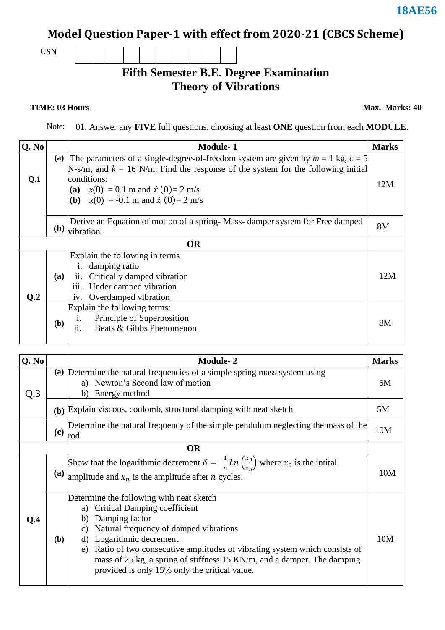## **Model Question Paper-1 with effect from 2020-21 (CBCS Scheme)**

USN

#### **Fifth Semester B.E. Degree Examination Theory of Vibrations**

**TIME: 03 Hours** Max. Marks: 40

Note: 01. Answer any **FIVE** full questions, choosing at least **ONE** question from each **MODULE**.

| Q. No          |                                                                                                                                                                                                                                                                                                          | <b>Module-1</b>                                                                                                                                                          | <b>Marks</b> |
|----------------|----------------------------------------------------------------------------------------------------------------------------------------------------------------------------------------------------------------------------------------------------------------------------------------------------------|--------------------------------------------------------------------------------------------------------------------------------------------------------------------------|--------------|
| Q.1            | (a)<br>The parameters of a single-degree-of-freedom system are given by $m = 1$ kg, $c = 5$<br>N-s/m, and $k = 16$ N/m. Find the response of the system for the following initial<br>conditions:<br>(a) $x(0) = 0.1$ m and $\dot{x}(0) = 2$ m/s<br>( <b>b</b> ) $x(0) = -0.1$ m and $\dot{x}(0) = 2$ m/s |                                                                                                                                                                          | 12M          |
|                | <b>(b)</b>                                                                                                                                                                                                                                                                                               | Derive an Equation of motion of a spring-Mass-damper system for Free damped<br>vibration.                                                                                | <b>8M</b>    |
|                |                                                                                                                                                                                                                                                                                                          | <b>OR</b>                                                                                                                                                                |              |
| Q <sub>2</sub> | <b>(a)</b>                                                                                                                                                                                                                                                                                               | Explain the following in terms<br>damping ratio<br>$\mathbf{1}$ .<br>Critically damped vibration<br>ii.<br>iii.<br>Under damped vibration<br>Overdamped vibration<br>1V. | 12M          |
|                | (b)                                                                                                                                                                                                                                                                                                      | Explain the following terms:<br>Principle of Superposition<br>i.<br>Beats & Gibbs Phenomenon<br>ii.                                                                      | 8M           |

| Q. No |                                 | <b>Module-2</b>                                                                                                                                                                                                                                                                                                                                                                                       | <b>Marks</b> |
|-------|---------------------------------|-------------------------------------------------------------------------------------------------------------------------------------------------------------------------------------------------------------------------------------------------------------------------------------------------------------------------------------------------------------------------------------------------------|--------------|
| Q.3   |                                 | (a) Determine the natural frequencies of a simple spring mass system using<br>a) Newton's Second law of motion<br>Energy method<br>b)                                                                                                                                                                                                                                                                 | 5M           |
|       |                                 | (b) Explain viscous, coulomb, structural damping with neat sketch                                                                                                                                                                                                                                                                                                                                     | 5M           |
|       | $\left( \mathbf{c} \right)$ rod | Determine the natural frequency of the simple pendulum neglecting the mass of the                                                                                                                                                                                                                                                                                                                     | 10M          |
|       |                                 | <b>OR</b>                                                                                                                                                                                                                                                                                                                                                                                             |              |
|       |                                 | Show that the logarithmic decrement $\delta = \frac{1}{n} Ln(\frac{x_0}{x_n})$ where $x_0$ is the intital<br>(a) amplitude and $x_n$ is the amplitude after <i>n</i> cycles.                                                                                                                                                                                                                          | 10M          |
| Q.4   | (b)                             | Determine the following with neat sketch<br><b>Critical Damping coefficient</b><br>Damping factor<br>b)<br>Natural frequency of damped vibrations<br>C)<br>Logarithmic decrement<br>d)<br>Ratio of two consecutive amplitudes of vibrating system which consists of<br>e)<br>mass of 25 kg, a spring of stiffness 15 KN/m, and a damper. The damping<br>provided is only 15% only the critical value. | 10M          |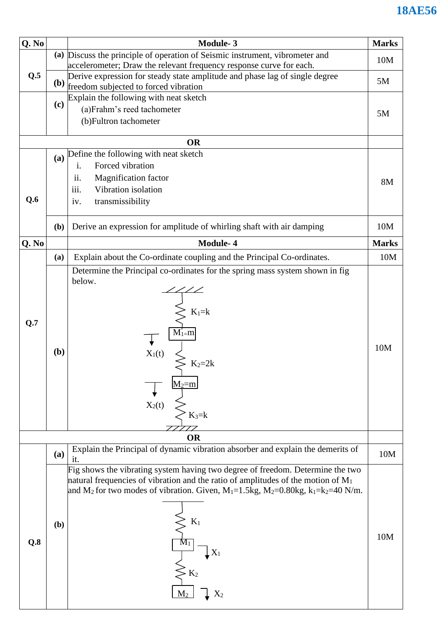| Q. No |              | <b>Module-3</b>                                                                                                                                     | <b>Marks</b> |
|-------|--------------|-----------------------------------------------------------------------------------------------------------------------------------------------------|--------------|
|       |              | (a) Discuss the principle of operation of Seismic instrument, vibrometer and<br>accelerometer; Draw the relevant frequency response curve for each. | 10M          |
| Q.5   |              | Derive expression for steady state amplitude and phase lag of single degree<br>(b) freedom subjected to forced vibration                            | 5M           |
|       |              | Explain the following with neat sketch                                                                                                              |              |
|       | (c)          | (a)Frahm's reed tachometer                                                                                                                          | 5M           |
|       |              | (b) Fultron tachometer                                                                                                                              |              |
|       |              | <b>OR</b>                                                                                                                                           |              |
|       | (a)          | Define the following with neat sketch                                                                                                               |              |
|       |              | Forced vibration<br>i.                                                                                                                              |              |
|       |              | ii.<br><b>Magnification factor</b>                                                                                                                  | <b>8M</b>    |
|       |              | Vibration isolation<br>iii.                                                                                                                         |              |
| Q.6   |              | transmissibility<br>iv.                                                                                                                             |              |
|       |              |                                                                                                                                                     |              |
|       | ( <b>b</b> ) | Derive an expression for amplitude of whirling shaft with air damping                                                                               | 10M          |
| Q. No |              | Module-4                                                                                                                                            | <b>Marks</b> |
|       | (a)          | Explain about the Co-ordinate coupling and the Principal Co-ordinates.                                                                              | 10M          |
|       |              | Determine the Principal co-ordinates for the spring mass system shown in fig                                                                        |              |
|       |              | below.                                                                                                                                              |              |
|       |              |                                                                                                                                                     |              |
|       |              |                                                                                                                                                     |              |
|       |              | $K_1 = k$                                                                                                                                           |              |
| Q.7   |              | $M_{1}$ =m                                                                                                                                          |              |
|       |              |                                                                                                                                                     |              |
|       | (b)          |                                                                                                                                                     | 10M          |
|       |              | $\overrightarrow{X_1(t)}$                                                                                                                           |              |
|       |              |                                                                                                                                                     |              |
|       |              | $M_2=m$                                                                                                                                             |              |
|       |              | $X_2(t)$                                                                                                                                            |              |
|       |              | $K_3=k$                                                                                                                                             |              |
|       |              |                                                                                                                                                     |              |
|       |              | <b>OR</b>                                                                                                                                           |              |
|       | <b>(a)</b>   | Explain the Principal of dynamic vibration absorber and explain the demerits of                                                                     | 10M          |
|       |              | it.<br>Fig shows the vibrating system having two degree of freedom. Determine the two                                                               |              |
|       |              | natural frequencies of vibration and the ratio of amplitudes of the motion of $M_1$                                                                 |              |
|       |              | and M <sub>2</sub> for two modes of vibration. Given, M <sub>1</sub> =1.5kg, M <sub>2</sub> =0.80kg, k <sub>1</sub> =k <sub>2</sub> =40 N/m.        |              |
|       |              |                                                                                                                                                     |              |
|       |              |                                                                                                                                                     |              |
|       | (b)          | $K_1$                                                                                                                                               |              |
| Q.8   |              |                                                                                                                                                     | 10M          |
|       |              | $\mathrm{X}_1$                                                                                                                                      |              |
|       |              |                                                                                                                                                     |              |
|       |              | $\mathbf{K}_2$                                                                                                                                      |              |
|       |              |                                                                                                                                                     |              |
|       |              | $X_2$                                                                                                                                               |              |
|       |              |                                                                                                                                                     |              |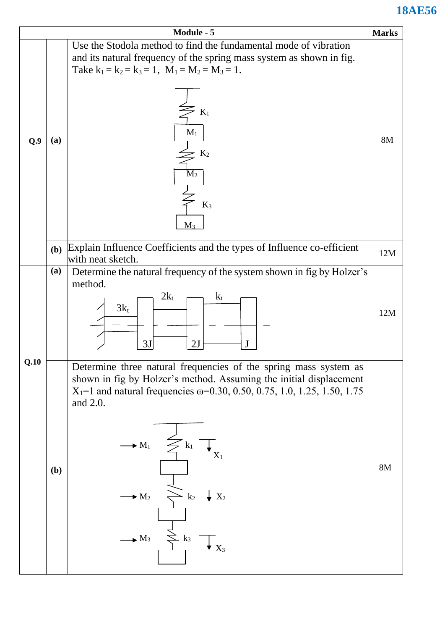|      |     | Module - 5                                                                                                                                                                                                                                                                                                                                                                                                                       | <b>Marks</b> |
|------|-----|----------------------------------------------------------------------------------------------------------------------------------------------------------------------------------------------------------------------------------------------------------------------------------------------------------------------------------------------------------------------------------------------------------------------------------|--------------|
| Q.9  | (a) | Use the Stodola method to find the fundamental mode of vibration<br>and its natural frequency of the spring mass system as shown in fig.<br>Take $k_1 = k_2 = k_3 = 1$ , $M_1 = M_2 = M_3 = 1$ .<br>$\mathbf{K}_1$<br>$M_1$<br>K <sub>2</sub><br>$M_2$                                                                                                                                                                           | <b>8M</b>    |
|      | (b) | $K_3$<br>$M_3$<br>Explain Influence Coefficients and the types of Influence co-efficient                                                                                                                                                                                                                                                                                                                                         | 12M          |
|      |     | with neat sketch.                                                                                                                                                                                                                                                                                                                                                                                                                |              |
|      | (a) | Determine the natural frequency of the system shown in fig by Holzer's<br>method.<br>$2k_t$<br>$k_t$<br>$3k_t$<br>3J<br>2J                                                                                                                                                                                                                                                                                                       | 12M          |
| Q.10 | (b) | Determine three natural frequencies of the spring mass system as<br>shown in fig by Holzer's method. Assuming the initial displacement<br>$X_1$ =1 and natural frequencies $\omega$ =0.30, 0.50, 0.75, 1.0, 1.25, 1.50, 1.75<br>and 2.0.<br>$\longrightarrow M_1$ $\leq k_1$ $\top$ <sub>X<sub>1</sub></sub><br>$\leq k_2$ $\sqrt{\phantom{1}}\,X_2$<br>$\rightarrow M_2$<br>$\sum k_3$<br>$\rightarrow$ M <sub>3</sub><br>$X_3$ | 8M           |